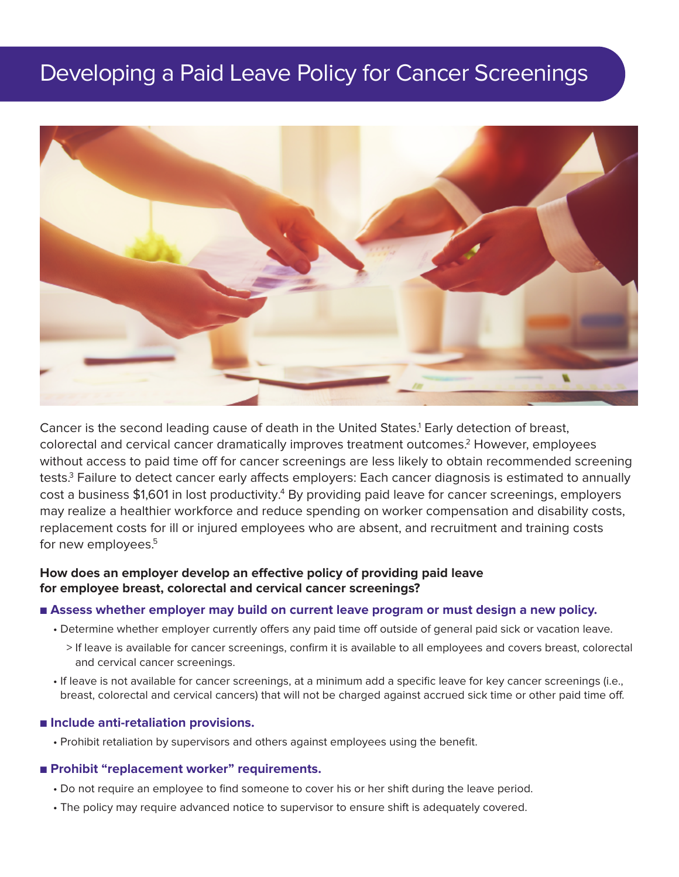# Developing a Paid Leave Policy for Cancer Screenings



Cancer is the second leading cause of death in the United States. <sup>1</sup> Early detection of breast, colorectal and cervical cancer dramatically improves treatment outcomes. <sup>2</sup> However, employees without access to paid time off for cancer screenings are less likely to obtain recommended screening tests. <sup>3</sup> Failure to detect cancer early affects employers: Each cancer diagnosis is estimated to annually cost a business \$1,601 in lost productivity.<sup>4</sup> By providing paid leave for cancer screenings, employers may realize a healthier workforce and reduce spending on worker compensation and disability costs, replacement costs for ill or injured employees who are absent, and recruitment and training costs for new employees. 5

# **How does an employer develop an effective policy of providing paid leave for employee breast, colorectal and cervical cancer screenings?**

### ■ **Assess whether employer may build on current leave program or must design a new policy.**

- Determine whether employer currently offers any paid time off outside of general paid sick or vacation leave.
	- > If leave is available for cancer screenings, confirm it is available to all employees and covers breast, colorectal and cervical cancer screenings.
- If leave is not available for cancer screenings, at a minimum add a specific leave for key cancer screenings (i.e., breast, colorectal and cervical cancers) that will not be charged against accrued sick time or other paid time off.

#### ■ **Include** anti-retaliation provisions.

• Prohibit retaliation by supervisors and others against employees using the benefit.

## ■ **Prohibit "replacement worker" requirements.**

- Do not require an employee to find someone to cover his or her shift during the leave period.
- The policy may require advanced notice to supervisor to ensure shift is adequately covered.